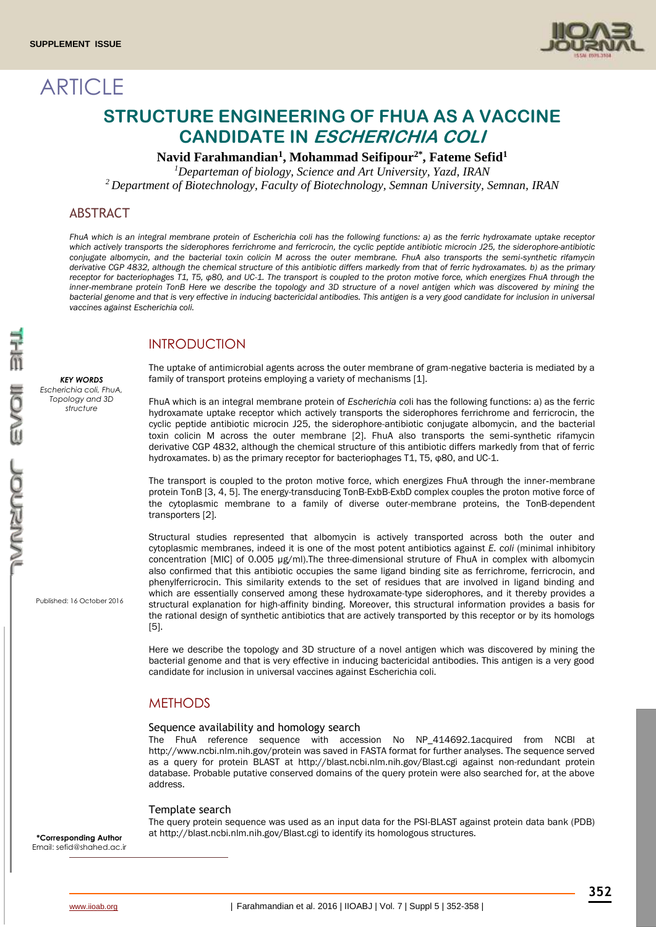**ARTICLE** 



# **STRUCTURE ENGINEERING OF FHUA AS A VACCINE CANDIDATE IN ESCHERICHIA COLI**

## **Navid Farahmandian<sup>1</sup> , Mohammad Seifipour2\* , Fateme Sefid<sup>1</sup>**

*<sup>1</sup>Departeman of biology, Science and Art University, Yazd, IRAN*

*<sup>2</sup>Department of Biotechnology, Faculty of Biotechnology, Semnan University, Semnan, IRAN*

## ABSTRACT

*FhuA which is an integral membrane protein of Escherichia coli has the following functions: a) as the ferric hydroxamate uptake receptor which actively transports the siderophores ferrichrome and ferricrocin, the cyclic peptide antibiotic microcin J25, the siderophore-antibiotic conjugate albomycin, and the bacterial toxin colicin M across the outer membrane. FhuA also transports the semi*-*synthetic rifamycin derivative CGP 4832, although the chemical structure of this antibiotic differs markedly from that of ferric hydroxamates. b) as the primary receptor for bacteriophages T1, T5, φ80, and UC-1. The transport is coupled to the proton motive force, which energizes FhuA through the inner*-*membrane protein TonB Here we describe the topology and 3D structure of a novel antigen which was discovered by mining the bacterial genome and that is very effective in inducing bactericidal antibodies. This antigen is a very good candidate for inclusion in universal vaccines against Escherichia coli.*

## INTRODUCTION

The uptake of antimicrobial agents across the outer membrane of gram-negative bacteria is mediated by a family of transport proteins employing a variety of mechanisms [1].

FhuA which is an integral membrane protein of *Escherichia co*li has the following functions: a) as the ferric hydroxamate uptake receptor which actively transports the siderophores ferrichrome and ferricrocin, the cyclic peptide antibiotic microcin J25, the siderophore-antibiotic conjugate albomycin, and the bacterial toxin colicin M across the outer membrane [2]. FhuA also transports the semi-synthetic rifamycin derivative CGP 4832, although the chemical structure of this antibiotic differs markedly from that of ferric hydroxamates. b) as the primary receptor for bacteriophages T1, T5, φ80, and UC-1.

The transport is coupled to the proton motive force, which energizes FhuA through the inner-membrane protein TonB [3, 4, 5]. The energy-transducing TonB-ExbB-ExbD complex couples the proton motive force of the cytoplasmic membrane to a family of diverse outer-membrane proteins, the TonB-dependent transporters [2].

Structural studies represented that albomycin is actively transported across both the outer and cytoplasmic membranes, indeed it is one of the most potent antibiotics against *E. coli* (minimal inhibitory concentration [MIC] of 0.005 μg/ml).The three-dimensional struture of FhuA in complex with albomycin also confirmed that this antibiotic occupies the same ligand binding site as ferrichrome, ferricrocin, and phenylferricrocin. This similarity extends to the set of residues that are involved in ligand binding and which are essentially conserved among these hydroxamate-type siderophores, and it thereby provides a structural explanation for high-affinity binding. Moreover, this structural information provides a basis for the rational design of synthetic antibiotics that are actively transported by this receptor or by its homologs [5].

Here we describe the topology and 3D structure of a novel antigen which was discovered by mining the bacterial genome and that is very effective in inducing bactericidal antibodies. This antigen is a very good candidate for inclusion in universal vaccines against Escherichia coli.

## **METHODS**

#### Sequence availability and homology search

The FhuA reference sequence with accession No NP\_414692.1acquired from NCBI at <http://www.ncbi.nlm.nih.gov/protein> was saved in FASTA format for further analyses. The sequence served as a query for protein BLAST at<http://blast.ncbi.nlm.nih.gov/Blast.cgi> against non-redundant protein database. Probable putative conserved domains of the query protein were also searched for, at the above address.

#### Template search

The query protein sequence was used as an input data for the PSI-BLAST against protein data bank (PDB) at<http://blast.ncbi.nlm.nih.gov/Blast.cgi> to identify its homologous structures.

Published: 16 October 2016

*KEY WORDS Escherichia coli, FhuA, Topology and 3D structure*

 Email[: sefid@shahed.ac.ir](mailto:sefid@shahed.ac.ir)**\*Corresponding Author**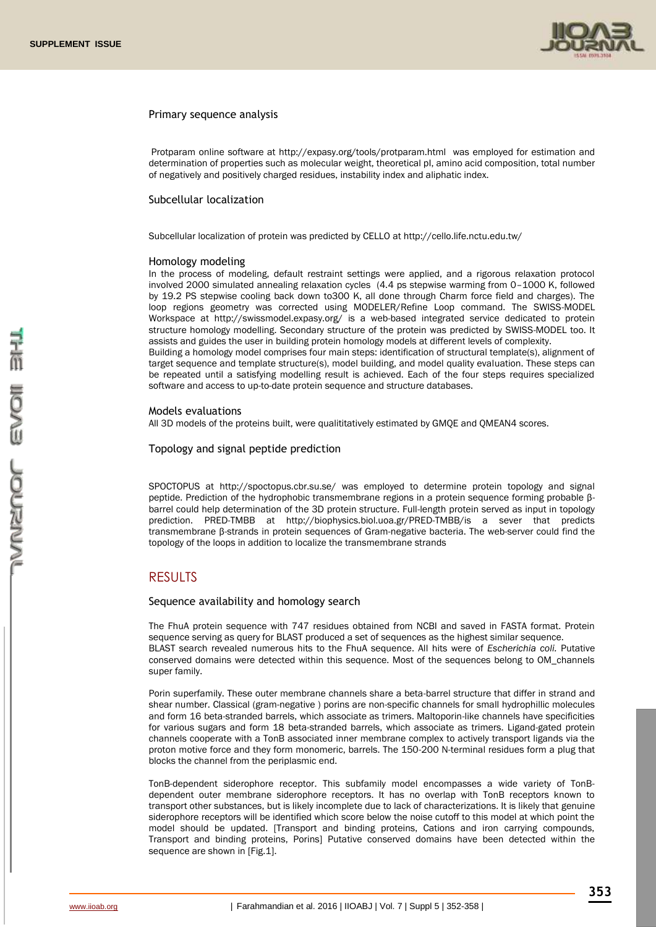

#### Primary sequence analysis

Protparam online software at<http://expasy.org/tools/protparam.html>was employed for estimation and determination of properties such as molecular weight, theoretical pI, amino acid composition, total number of negatively and positively charged residues, instability index and aliphatic index.

#### Subcellular localization

Subcellular localization of protein was predicted by CELLO a[t http://cello.life.nctu.edu.tw/](http://cello.life.nctu.edu.tw/)

#### Homology modeling

In the process of modeling, default restraint settings were applied, and a rigorous relaxation protocol involved 2000 simulated annealing relaxation cycles (4.4 ps stepwise warming from 0–1000 K, followed by 19.2 PS stepwise cooling back down to300 K, all done through Charm force field and charges). The loop regions geometry was corrected using MODELER/Refine Loop command. The SWISS-MODEL Workspace at <http://swissmodel.expasy.org/> is a web-based integrated service dedicated to protein structure homology modelling. Secondary structure of the protein was predicted by SWISS-MODEL too. It assists and guides the user in building protein homology models at different levels of complexity. Building a homology model comprises four main steps: identification of structural template(s), alignment of target sequence and template structure(s), model building, and model quality evaluation. These steps can be repeated until a satisfying modelling result is achieved. Each of the four steps requires specialized software and access to up-to-date protein sequence and structure databases.

#### Models evaluations

All 3D models of the proteins built, were qualititatively estimated by GMQE and QMEAN4 scores.

#### Topology and signal peptide prediction

SPOCTOPUS at <http://spoctopus.cbr.su.se/> was employed to determine protein topology and signal peptide. Prediction of the hydrophobic transmembrane regions in a protein sequence forming probable βbarrel could help determination of the 3D protein structure. Full-length protein served as input in topology prediction. PRED-TMBB at [http://biophysics.biol.uoa.gr/PRED-TMBB/is](http://biophysics.biol.uoa.gr/PRED-TMBB/) a sever that predicts transmembrane β-strands in protein sequences of Gram-negative bacteria. The web-server could find the topology of the loops in addition to localize the transmembrane strands

## RESULTS

Sequence availability and homology search

The FhuA protein sequence with 747 residues obtained from NCBI and saved in FASTA format. Protein sequence serving as query for BLAST produced a set of sequences as the highest similar sequence. BLAST search revealed numerous hits to the FhuA sequence. All hits were of *Escherichia coli.* Putative conserved domains were detected within this sequence. Most of the sequences belong to OM\_channels super family.

Porin superfamily. These outer membrane channels share a beta-barrel structure that differ in strand and shear number. Classical (gram-negative ) porins are non-specific channels for small hydrophillic molecules and form 16 beta-stranded barrels, which associate as trimers. Maltoporin-like channels have specificities for various sugars and form 18 beta-stranded barrels, which associate as trimers. Ligand-gated protein channels cooperate with a TonB associated inner membrane complex to actively transport ligands via the proton motive force and they form monomeric, barrels. The 150-200 N-terminal residues form a plug that blocks the channel from the periplasmic end.

TonB-dependent siderophore receptor. This subfamily model encompasses a wide variety of TonBdependent outer membrane siderophore receptors. It has no overlap with TonB receptors known to transport other substances, but is likely incomplete due to lack of characterizations. It is likely that genuine siderophore receptors will be identified which score below the noise cutoff to this model at which point the model should be updated. [Transport and binding proteins, Cations and iron carrying compounds, Transport and binding proteins, Porins] Putative conserved domains have been detected within the sequence are shown in [Fig.1].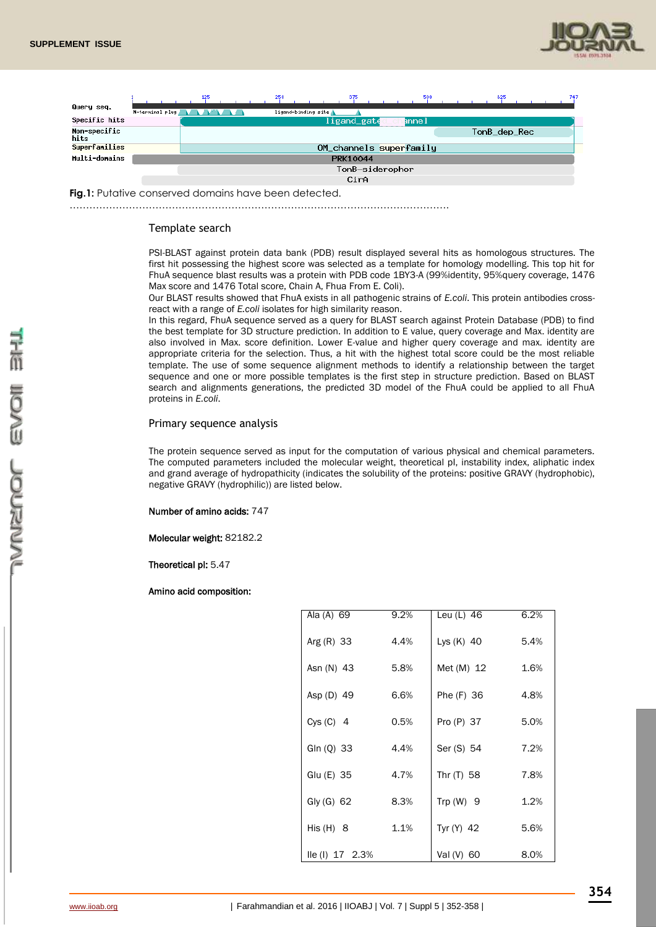



**Fig.1:** Putative conserved domains have been detected.

…………………………………………………………………………………………………….

#### Template search

PSI-BLAST against protein data bank (PDB) result displayed several hits as homologous structures. The first hit possessing the highest score was selected as a template for homology modelling. This top hit for FhuA sequence blast results was a protein with PDB code 1BY3-A (99%identity, 95%query coverage, 1476 Max score and 1476 Total score, [Chain A, Fhua From E. Coli\)](http://blast.ncbi.nlm.nih.gov/Blast.cgi#alnHdr_4389223).

Our BLAST results showed that FhuA exists in all pathogenic strains of *E.coli*. This protein antibodies crossreact with a range of *E.coli* isolates for high similarity reason.

In this regard, FhuA sequence served as a query for BLAST search against Protein Database (PDB) to find the best template for 3D structure prediction. In addition to E value, query coverage and Max. identity are also involved in Max. score definition. Lower E-value and higher query coverage and max. identity are appropriate criteria for the selection. Thus, a hit with the highest total score could be the most reliable template. The use of some sequence alignment methods to identify a relationship between the target sequence and one or more possible templates is the first step in structure prediction. Based on BLAST search and alignments generations, the predicted 3D model of the FhuA could be applied to all FhuA proteins in *E.coli*.

#### Primary sequence analysis

The protein sequence served as input for the computation of various physical and chemical parameters. The computed parameters included the molecular weight, theoretical pI, instability index, aliphatic index and grand average of hydropathicity (indicates the solubility of the proteins: positive GRAVY (hydrophobic), negative GRAVY (hydrophilic)) are listed below.

#### Number of amino acids: 747

Molecular weight: 82182.2

Theoretical pI: 5.47

#### Amino acid composition:

| Ala (A) 69               | $9.2\%$ | Leu (L) 46   | 6.2% |
|--------------------------|---------|--------------|------|
| Arg $(R)$ 33             | 4.4%    | Lys (K) 40   | 5.4% |
| Asn (N) 43               | 5.8%    | Met (M) 12   | 1.6% |
| Asp (D) 49               | 6.6%    | Phe (F) 36   | 4.8% |
| Cys (C) 4                | 0.5%    | Pro (P) 37   | 5.0% |
| GIn (Q) 33               | 4.4%    | Ser (S) 54   | 7.2% |
| Glu (E) 35               | 4.7%    | Thr (T) 58   | 7.8% |
| Gly $(G)$ 62             | 8.3%    | Trp $(W)$ 9  | 1.2% |
| His $(H)$ 8              | 1.1%    | Tyr $(Y)$ 42 | 5.6% |
| $\text{IIe (I)}$ 17 2.3% |         | Val (V) 60   | 8.0% |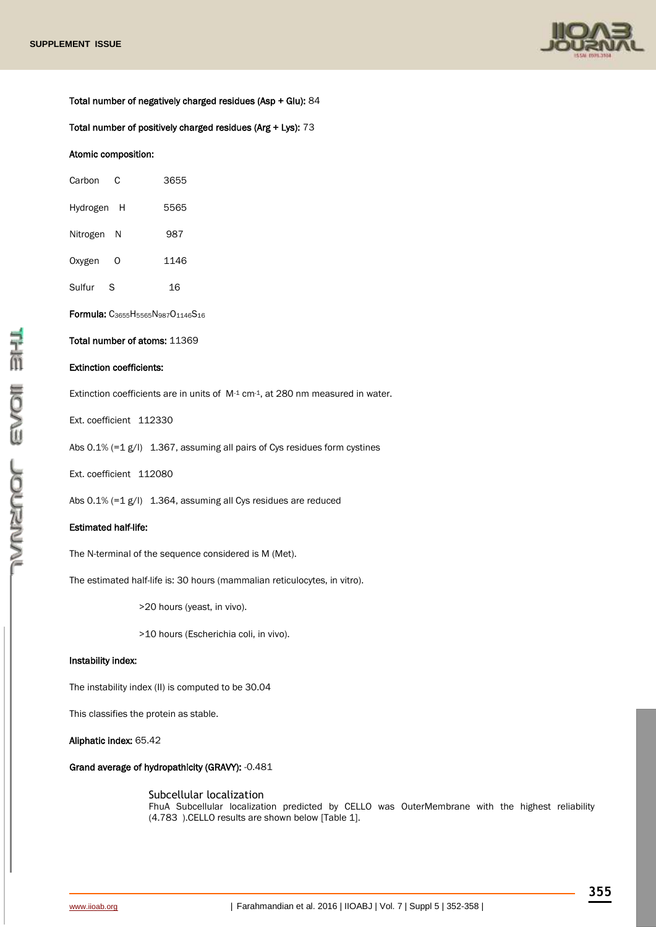

Total number of negatively charged residues (Asp + Glu): 84

Total number of positively charged residues (Arg + Lys): 73

#### Atomic composition:

| Carbon<br>C     | 3655 |
|-----------------|------|
| Hydrogen<br>– H | 5565 |
| Nitrogen<br>- N | 987  |
| Oxygen<br>Ω     | 1146 |
| Sulfur<br>S     | 16   |
|                 |      |

Formula: C3655H5565N987O1146S<sup>16</sup> Total number of atoms: 11369

## Extinction coefficients:

Extinction coefficients are in units of M-1 cm-1, at 280 nm measured in water.

Ext. coefficient 112330

Abs 0.1% (=1 g/l) 1.367, assuming all pairs of Cys residues form cystines

Ext. coefficient 112080

Abs 0.1% (=1 g/l) 1.364, assuming all Cys residues are reduced

#### Estimated half-life:

The N-terminal of the sequence considered is M (Met).

The estimated half-life is: 30 hours (mammalian reticulocytes, in vitro).

>20 hours (yeast, in vivo).

>10 hours (Escherichia coli, in vivo).

#### Instability index:

The instability index (II) is computed to be 30.04

This classifies the protein as stable.

Aliphatic index: 65.42

Grand average of hydropathicity (GRAVY): -0.481

Subcellular localization FhuA Subcellular localization predicted by CELLO was OuterMembrane with the highest reliability (4.783 ).CELLO results are shown below [Table 1].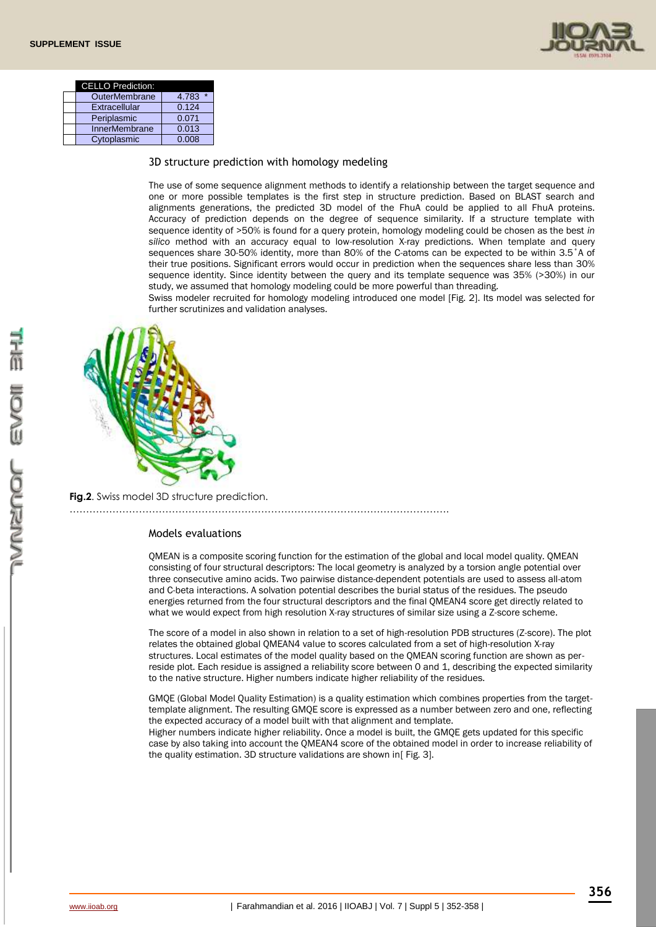

| <b>CELLO Prediction:</b> |       |
|--------------------------|-------|
| OuterMembrane            | 4.783 |
| Extracellular            | 0.124 |
| <b>Periplasmic</b>       | 0.071 |
| <b>InnerMembrane</b>     | 0.013 |
| Cytoplasmic              | 0.008 |

3D structure prediction with homology medeling

The use of some sequence alignment methods to identify a relationship between the target sequence and one or more possible templates is the first step in structure prediction. Based on BLAST search and alignments generations, the predicted 3D model of the FhuA could be applied to all FhuA proteins. Accuracy of prediction depends on the degree of sequence similarity. If a structure template with sequence identity of >50% is found for a query protein, homology modeling could be chosen as the best *in silico* method with an accuracy equal to low-resolution X-ray predictions. When template and query sequences share 30-50% identity, more than 80% of the C-atoms can be expected to be within 3.5˚A of their true positions. Significant errors would occur in prediction when the sequences share less than 30% sequence identity. Since identity between the query and its template sequence was 35% (>30%) in our study, we assumed that homology modeling could be more powerful than threading.

Swiss modeler recruited for homology modeling introduced one model [Fig. 2]. Its model was selected for further scrutinizes and validation analyses.



**Fig.2.** Swiss model 3D structure prediction.

## Models evaluations

…………………………………………………………………………………………………….

QMEAN is a composite scoring function for the estimation of the global and local model quality. QMEAN consisting of four structural descriptors: The local geometry is analyzed by a torsion angle potential over three consecutive amino acids. Two pairwise distance-dependent potentials are used to assess all-atom and C-beta interactions. A solvation potential describes the burial status of the residues. The pseudo energies returned from the four structural descriptors and the final QMEAN4 score get directly related to what we would expect from high resolution X-ray structures of similar size using a Z-score scheme.

The score of a model in also shown in relation to a set of high-resolution PDB structures (Z-score). The plot relates the obtained global QMEAN4 value to scores calculated from a set of high-resolution X-ray structures. Local estimates of the model quality based on the QMEAN scoring function are shown as perreside plot. Each residue is assigned a reliability score between 0 and 1, describing the expected similarity to the native structure. Higher numbers indicate higher reliability of the residues.

GMQE (Global Model Quality Estimation) is a quality estimation which combines properties from the targettemplate alignment. The resulting GMQE score is expressed as a number between zero and one, reflecting the expected accuracy of a model built with that alignment and template.

Higher numbers indicate higher reliability. Once a model is built, the GMQE gets updated for this specific case by also taking into account the QMEAN4 score of the obtained model in order to increase reliability of the quality estimation. 3D structure validations are shown in [Fig. 3].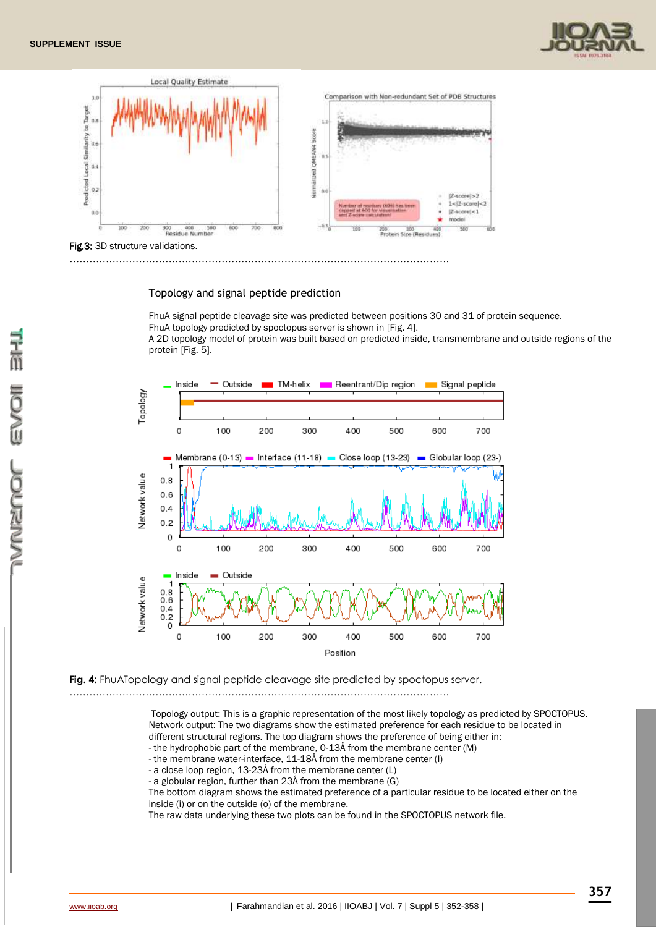



#### Topology and signal peptide prediction

FhuA signal peptide cleavage site was predicted between positions 30 and 31 of protein sequence. FhuA topology predicted by spoctopus server is shown in [Fig. 4].

A 2D topology model of protein was built based on predicted inside, transmembrane and outside regions of the protein [Fig. 5].



## **Fig. 4:** FhuATopology and signal peptide cleavage site predicted by spoctopus server.

…………………………………………………………………………………………………….

Topology output: This is a graphic representation of the most likely topology as predicted by SPOCTOPUS. Network output: The two diagrams show the estimated preference for each residue to be located in different structural regions. The top diagram shows the preference of being either in:

- the hydrophobic part of the membrane, 0-13Å from the membrane center (M)

- the membrane water-interface, 11-18Å from the membrane center (I)
- a close loop region, 13-23Å from the membrane center (L) - a globular region, further than 23Å from the membrane (G)

The bottom diagram shows the estimated preference of a particular residue to be located either on the inside (i) or on the outside (o) of the membrane.

The raw data underlying these two plots can be found in the SPOCTOPUS network file.